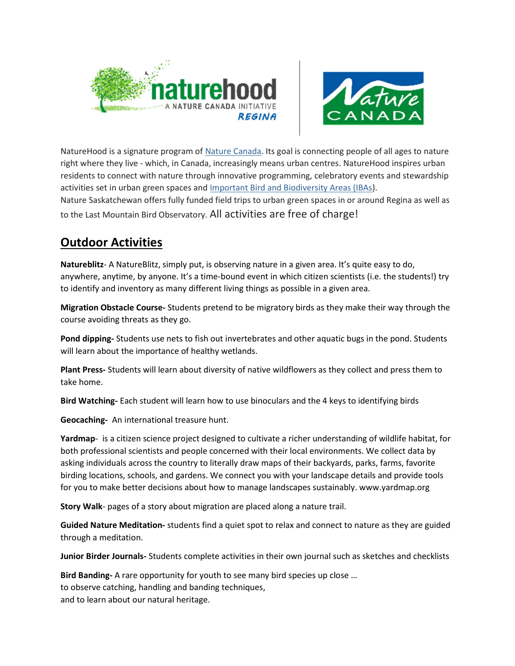



NatureHood is a signature program of Nature Canada. Its goal is connecting people of all ages to nature right where they live - which, in Canada, increasingly means urban centres. NatureHood inspires urban residents to connect with nature through innovative programming, celebratory events and stewardship activities set in urban green spaces and Important Bird and Biodiversity Areas (IBAs).

Nature Saskatchewan offers fully funded field trips to urban green spaces in or around Regina as well as to the Last Mountain Bird Observatory. All activities are free of charge!

## Outdoor Activities

Natureblitz- A NatureBlitz, simply put, is observing nature in a given area. It's quite easy to do, anywhere, anytime, by anyone. It's a time-bound event in which citizen scientists (i.e. the students!) try to identify and inventory as many different living things as possible in a given area.

Migration Obstacle Course- Students pretend to be migratory birds as they make their way through the course avoiding threats as they go.

Pond dipping- Students use nets to fish out invertebrates and other aquatic bugs in the pond. Students will learn about the importance of healthy wetlands.

Plant Press- Students will learn about diversity of native wildflowers as they collect and press them to take home.

Bird Watching- Each student will learn how to use binoculars and the 4 keys to identifying birds

Geocaching- An international treasure hunt.

Yardmap- is a citizen science project designed to cultivate a richer understanding of wildlife habitat, for both professional scientists and people concerned with their local environments. We collect data by asking individuals across the country to literally draw maps of their backyards, parks, farms, favorite birding locations, schools, and gardens. We connect you with your landscape details and provide tools for you to make better decisions about how to manage landscapes sustainably. www.yardmap.org

Story Walk- pages of a story about migration are placed along a nature trail.

Guided Nature Meditation- students find a quiet spot to relax and connect to nature as they are guided through a meditation.

Junior Birder Journals- Students complete activities in their own journal such as sketches and checklists

Bird Banding- A rare opportunity for youth to see many bird species up close ... to observe catching, handling and banding techniques, and to learn about our natural heritage.